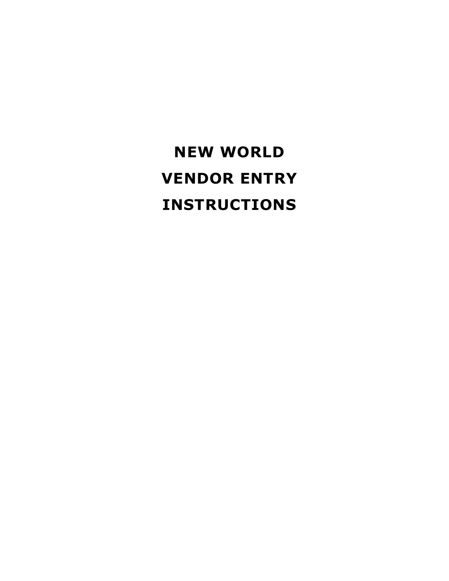# **NEW WORLD VENDOR ENTRY INSTRUCTIONS**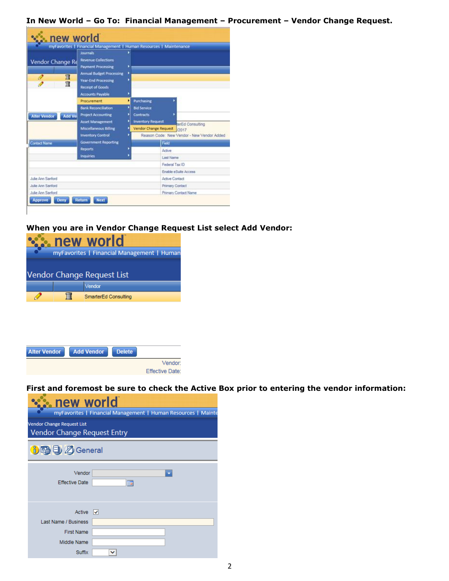**In New World – Go To: Financial Management – Procurement – Vendor Change Request.**



#### **When you are in Vendor Change Request List select Add Vendor:**



|                 | <b>Delete</b> | <b>Add Vendor</b> | <b>Alter Vendor</b> |
|-----------------|---------------|-------------------|---------------------|
| Vendor:         |               |                   |                     |
| Effective Date: |               |                   |                     |

**First and foremost be sure to check the Active Box prior to entering the vendor information:**

| new world<br>myFavorites   Financial Management   Human Resources   Mainte |   |  |  |  |  |  |  |  |  |
|----------------------------------------------------------------------------|---|--|--|--|--|--|--|--|--|
| <b>Vendor Change Request List</b><br>Vendor Change Request Entry           |   |  |  |  |  |  |  |  |  |
| 6日目Z General                                                               |   |  |  |  |  |  |  |  |  |
| Vendor<br><b>Effective Date</b>                                            | m |  |  |  |  |  |  |  |  |
| Active $ $ $\checkmark$<br><b>Last Name / Business</b>                     |   |  |  |  |  |  |  |  |  |
| <b>First Name</b>                                                          |   |  |  |  |  |  |  |  |  |
| Middle Name                                                                |   |  |  |  |  |  |  |  |  |
| Suffix                                                                     | ◡ |  |  |  |  |  |  |  |  |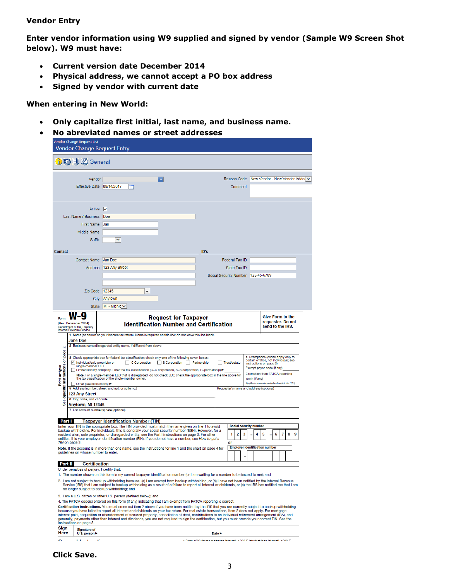#### **Vendor Entry**

**Enter vendor information using W9 supplied and signed by vendor (Sample W9 Screen Shot below). W9 must have:**

- **Current version date December 2014**
- **Physical address, we cannot accept a PO box address**
- **Signed by vendor with current date**

#### **When entering in New World:**

- **Only capitalize first initial, last name, and business name.**
- **No abreviated names or street addresses**

|                                                               | Vendor Change Request List                                                                                                                                                 | Vendor Change Request Entry                                                                                                                                                                                                                                                                                                                                                                                                                                                                                                                                                                                                                                                                                                                                                                                                                                                                                                                                                                                       |   |                                                                             |      |                                                                 |   |                                                                                                                                                                                                                                               |                  |        |  |
|---------------------------------------------------------------|----------------------------------------------------------------------------------------------------------------------------------------------------------------------------|-------------------------------------------------------------------------------------------------------------------------------------------------------------------------------------------------------------------------------------------------------------------------------------------------------------------------------------------------------------------------------------------------------------------------------------------------------------------------------------------------------------------------------------------------------------------------------------------------------------------------------------------------------------------------------------------------------------------------------------------------------------------------------------------------------------------------------------------------------------------------------------------------------------------------------------------------------------------------------------------------------------------|---|-----------------------------------------------------------------------------|------|-----------------------------------------------------------------|---|-----------------------------------------------------------------------------------------------------------------------------------------------------------------------------------------------------------------------------------------------|------------------|--------|--|
|                                                               | D吗日ZGeneral                                                                                                                                                                |                                                                                                                                                                                                                                                                                                                                                                                                                                                                                                                                                                                                                                                                                                                                                                                                                                                                                                                                                                                                                   |   |                                                                             |      |                                                                 |   |                                                                                                                                                                                                                                               |                  |        |  |
|                                                               | Vendor<br><b>Effective Date</b>                                                                                                                                            | 08/14/2017<br><b>Tip</b>                                                                                                                                                                                                                                                                                                                                                                                                                                                                                                                                                                                                                                                                                                                                                                                                                                                                                                                                                                                          | ٠ |                                                                             |      | Reason Code<br>Comment                                          |   | New Vendor - New Vendor Adder V                                                                                                                                                                                                               |                  |        |  |
|                                                               | Active<br>Last Name / Business<br><b>First Name</b><br>Middle Name<br><b>Suffix</b>                                                                                        | $\vert \checkmark$<br>Doe<br><b>Jan</b><br>v                                                                                                                                                                                                                                                                                                                                                                                                                                                                                                                                                                                                                                                                                                                                                                                                                                                                                                                                                                      |   |                                                                             |      |                                                                 |   |                                                                                                                                                                                                                                               |                  |        |  |
| Contact                                                       |                                                                                                                                                                            |                                                                                                                                                                                                                                                                                                                                                                                                                                                                                                                                                                                                                                                                                                                                                                                                                                                                                                                                                                                                                   |   |                                                                             | ID's |                                                                 |   |                                                                                                                                                                                                                                               |                  |        |  |
|                                                               | <b>Contact Name</b><br>Address<br>Zip Code<br>City                                                                                                                         | Jan Doe<br>123 Any Street<br>12345<br>Anytown                                                                                                                                                                                                                                                                                                                                                                                                                                                                                                                                                                                                                                                                                                                                                                                                                                                                                                                                                                     | v |                                                                             |      | Federal Tax ID<br>State Tax ID<br><b>Social Security Number</b> |   | 123-45-6789                                                                                                                                                                                                                                   |                  |        |  |
|                                                               | <b>State</b>                                                                                                                                                               | $MI - Michic \vee$                                                                                                                                                                                                                                                                                                                                                                                                                                                                                                                                                                                                                                                                                                                                                                                                                                                                                                                                                                                                |   |                                                                             |      |                                                                 |   |                                                                                                                                                                                                                                               |                  |        |  |
| N<br>Instructions on page<br>Print or type<br><b>Specific</b> | Department of the Treasury<br>Internal Revenue Service<br>Jane Doe<br>Individual/sole proprietor or<br>single-member LLC<br>◯ Other (see instructions) ▶<br>123 Any Street | 1 Name (as shown on your income tax return). Name is required on this line; do not leave this line blank.<br>2 Business name/disregarded entity name, if different from above<br>3 Check appropriate box for federal tax classification; check only one of the following seven boxes:<br>C Corporation<br>Limited liability company. Enter the tax classification (C=C corporation, S=S corporation, P=partnership) ▶<br>Note. For a single-member LLC that is disregarded, do not check LLC; check the appropriate box in the line above for<br>the tax classification of the single-member owner.<br>5 Address (number, street, and apt. or suite no.)                                                                                                                                                                                                                                                                                                                                                          |   | <b>Identification Number and Certification</b><br>S Corporation Partnership |      | Trust/estate<br>Requester's name and address (optional)         |   | 4 Exemptions (codes apply only to<br>certain entities, not individuals; see<br>instructions on page 3):<br>Exempt payee code (if any)<br>Exemption from FATCA reporting<br>code (if any)<br>(Applies to accounts maintained outside the U.S.) | send to the IRS. |        |  |
| See                                                           | 6 City, state, and ZIP code<br>Anytown, MI 12345                                                                                                                           |                                                                                                                                                                                                                                                                                                                                                                                                                                                                                                                                                                                                                                                                                                                                                                                                                                                                                                                                                                                                                   |   |                                                                             |      |                                                                 |   |                                                                                                                                                                                                                                               |                  |        |  |
| Part I<br>TIN on page 3.                                      | 7 List account number(s) here (optional)<br>guidelines on whose number to enter.                                                                                           | Taxpayer Identification Number (TIN)<br>Enter your TIN in the appropriate box. The TIN provided must match the name given on line 1 to avoid<br>backup withholding. For individuals, this is generally your social security number (SSN). However, for a<br>resident alien, sole proprietor, or disregarded entity, see the Part I instructions on page 3. For other<br>entities, it is your employer identification number (EIN). If you do not have a number, see How to get a<br>Note. If the account is in more than one name, see the instructions for line 1 and the chart on page 4 for                                                                                                                                                                                                                                                                                                                                                                                                                    |   |                                                                             |      | Social security number<br>2<br>1<br>or                          | 3 | 5<br>4<br><b>Employer identification number</b>                                                                                                                                                                                               | 6                | 7<br>8 |  |
| Part II                                                       | <b>Certification</b>                                                                                                                                                       |                                                                                                                                                                                                                                                                                                                                                                                                                                                                                                                                                                                                                                                                                                                                                                                                                                                                                                                                                                                                                   |   |                                                                             |      |                                                                 |   |                                                                                                                                                                                                                                               |                  |        |  |
|                                                               | Under penalties of perjury, I certify that:                                                                                                                                | 1. The number shown on this form is my correct taxpayer identification number (or I am waiting for a number to be issued to me); and<br>2. I am not subject to backup withholding because: (a) I am exempt from backup withholding, or (b) I have not been notified by the Internal Revenue<br>Service (IRS) that I am subject to backup withholding as a result of a failure to report all interest or dividends, or (c) the IRS has notified me that I am<br>no longer subject to backup withholding; and<br>3. I am a U.S. citizen or other U.S. person (defined below); and<br>4. The FATCA code(s) entered on this form (if any) indicating that I am exempt from FATCA reporting is correct.<br>Certification instructions. You must cross out item 2 above if you have been notified by the IRS that you are currently subject to backup withholding<br>because you have failed to report all interest and dividends on your tax return. For real estate transactions, item 2 does not apply. For mortgage |   |                                                                             |      |                                                                 |   |                                                                                                                                                                                                                                               |                  |        |  |
| Sign                                                          | instructions on page 3.<br><b>Signature of</b>                                                                                                                             | interest paid, acquisition or abandonment of secured property, cancellation of debt, contributions to an individual retirement arrangement (IRA), and<br>generally, payments other than interest and dividends, you are not required to sign the certification, but you must provide your correct TIN. See the                                                                                                                                                                                                                                                                                                                                                                                                                                                                                                                                                                                                                                                                                                    |   |                                                                             |      |                                                                 |   |                                                                                                                                                                                                                                               |                  |        |  |

Here  $U.S. person \triangleright$ 

Date  $\blacktriangleright$ 

teresti. 1000 E (student leen isterest). 1000 T وأستمرئ المستقصين المناسب  $\sim$ 

#### **Click Save.**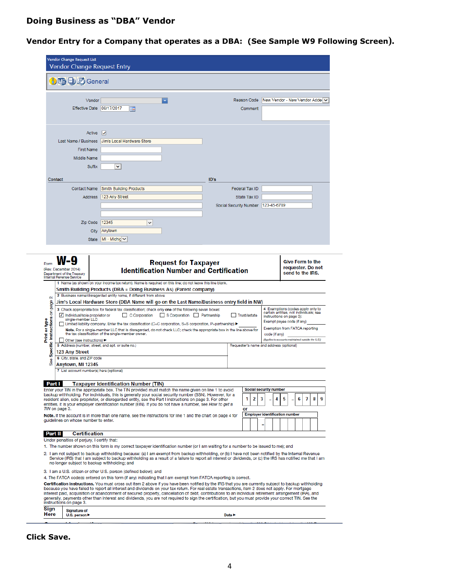## **Doing Business as "DBA" Vendor**

## **Vendor Entry for a Company that operates as a DBA: (See Sample W9 Following Screen).**

|                                                                                                                                                                                                                                                                                                                                                                                                                                                                                                                                                                                                                                                                                                                                                                                                                                                 | Vendor Change Request List<br>Vendor Change Request Entry                                                                                                                                                                                               |                                                                                                                                                                                                                                                                                                                                                                                                                                                                                                                                                                                                                  |                            |                                                         |                                                                                  |                                                                                                                                                                                                                                     |   |
|-------------------------------------------------------------------------------------------------------------------------------------------------------------------------------------------------------------------------------------------------------------------------------------------------------------------------------------------------------------------------------------------------------------------------------------------------------------------------------------------------------------------------------------------------------------------------------------------------------------------------------------------------------------------------------------------------------------------------------------------------------------------------------------------------------------------------------------------------|---------------------------------------------------------------------------------------------------------------------------------------------------------------------------------------------------------------------------------------------------------|------------------------------------------------------------------------------------------------------------------------------------------------------------------------------------------------------------------------------------------------------------------------------------------------------------------------------------------------------------------------------------------------------------------------------------------------------------------------------------------------------------------------------------------------------------------------------------------------------------------|----------------------------|---------------------------------------------------------|----------------------------------------------------------------------------------|-------------------------------------------------------------------------------------------------------------------------------------------------------------------------------------------------------------------------------------|---|
|                                                                                                                                                                                                                                                                                                                                                                                                                                                                                                                                                                                                                                                                                                                                                                                                                                                 | D吗日のGeneral                                                                                                                                                                                                                                             |                                                                                                                                                                                                                                                                                                                                                                                                                                                                                                                                                                                                                  |                            |                                                         |                                                                                  |                                                                                                                                                                                                                                     |   |
|                                                                                                                                                                                                                                                                                                                                                                                                                                                                                                                                                                                                                                                                                                                                                                                                                                                 | Vendor<br>Effective Date 08/17/2017                                                                                                                                                                                                                     | <b>THE</b>                                                                                                                                                                                                                                                                                                                                                                                                                                                                                                                                                                                                       |                            | Reason Code<br>Comment                                  |                                                                                  | New Vendor - New Vendor Addel ∨                                                                                                                                                                                                     |   |
|                                                                                                                                                                                                                                                                                                                                                                                                                                                                                                                                                                                                                                                                                                                                                                                                                                                 | Active<br>Last Name / Business<br><b>First Name</b><br>Middle Name<br><b>Suffix</b><br>Contact                                                                                                                                                          | ₩<br>Jim's Local Hardware Store<br>v                                                                                                                                                                                                                                                                                                                                                                                                                                                                                                                                                                             | ID's                       | <b>Federal Tax ID</b>                                   |                                                                                  |                                                                                                                                                                                                                                     |   |
|                                                                                                                                                                                                                                                                                                                                                                                                                                                                                                                                                                                                                                                                                                                                                                                                                                                 | <b>Contact Name</b><br>Address                                                                                                                                                                                                                          | <b>Smith Building Products</b><br>123 Any Street                                                                                                                                                                                                                                                                                                                                                                                                                                                                                                                                                                 |                            | State Tax ID                                            |                                                                                  |                                                                                                                                                                                                                                     |   |
|                                                                                                                                                                                                                                                                                                                                                                                                                                                                                                                                                                                                                                                                                                                                                                                                                                                 |                                                                                                                                                                                                                                                         |                                                                                                                                                                                                                                                                                                                                                                                                                                                                                                                                                                                                                  |                            | Social Security Number                                  | 123-45-6789                                                                      |                                                                                                                                                                                                                                     |   |
|                                                                                                                                                                                                                                                                                                                                                                                                                                                                                                                                                                                                                                                                                                                                                                                                                                                 | Zip Code<br>City<br><b>State</b>                                                                                                                                                                                                                        | 12345<br>v<br>Anytown<br>MI - Michic $\vee$                                                                                                                                                                                                                                                                                                                                                                                                                                                                                                                                                                      |                            |                                                         |                                                                                  |                                                                                                                                                                                                                                     |   |
| Form                                                                                                                                                                                                                                                                                                                                                                                                                                                                                                                                                                                                                                                                                                                                                                                                                                            | (Rev. December 2014)<br>Department of the Treasury<br>Internal Revenue Service                                                                                                                                                                          | <b>Request for Taxpayer</b><br><b>Identification Number and Certification</b><br>1 Name (as shown on your income tax retum). Name is required on this line; do not leave this line blank.<br>Smith Building Products (DBA = Doing Business As) (Parent company)                                                                                                                                                                                                                                                                                                                                                  |                            |                                                         |                                                                                  | <b>Give Form to the</b><br>requester. Do not<br>send to the IRS.                                                                                                                                                                    |   |
| ۵i<br>page<br>Instructions on<br>Print or type<br>Specific<br><b>See</b>                                                                                                                                                                                                                                                                                                                                                                                                                                                                                                                                                                                                                                                                                                                                                                        | √ Individual/sole proprietor or<br>single-member LLC<br>Other (see instructions)<br>5 Address (number, street, and apt. or suite no.)<br>123 Any Street<br>6 City, state, and ZIP code<br>Anytown, MI 12345<br>7 List account number(s) here (optional) | 2 Business name/disregarded entity name, if different from above<br>Jim's Local Hardware Store (DBA Name will go on the Last Name/Business entry field in NW)<br>3 Check appropriate box for federal tax classification; check only one of the following seven boxes:<br>S Corporation Partnership<br>C Corporation<br>Limited liability company. Enter the tax classification (C=C corporation, S=S corporation, P=partnership) ▶<br>Note. For a single-member LLC that is disregarded, do not check LLC; check the appropriate box in the line above for<br>the tax classification of the single-member owner. |                            | Trust/estate<br>Requester's name and address (optional) | code (if any)                                                                    | 4 Exemptions (codes apply only to<br>certain entities, not individuals; see<br>instructions on page 3):<br>Exempt payee code (if any)<br><b>Exemption from FATCA reporting</b><br>(Applies to accounts maintained outside the U.S.) |   |
| Part I                                                                                                                                                                                                                                                                                                                                                                                                                                                                                                                                                                                                                                                                                                                                                                                                                                          |                                                                                                                                                                                                                                                         | <b>Taxpaver Identification Number (TIN)</b>                                                                                                                                                                                                                                                                                                                                                                                                                                                                                                                                                                      |                            |                                                         |                                                                                  |                                                                                                                                                                                                                                     |   |
|                                                                                                                                                                                                                                                                                                                                                                                                                                                                                                                                                                                                                                                                                                                                                                                                                                                 | TIN on page 3.<br>guidelines on whose number to enter.                                                                                                                                                                                                  | Enter your TIN in the appropriate box. The TIN provided must match the name given on line 1 to avoid<br>backup withholding. For individuals, this is generally your social security number (SSN). However, for a<br>resident alien, sole proprietor, or disregarded entity, see the Part I instructions on page 3. For other<br>entities, it is your employer identification number (EIN). If you do not have a number, see How to get a<br>Note. If the account is in more than one name, see the instructions for line 1 and the chart on page 4 for                                                           |                            | 2<br>1<br>or                                            | <b>Social security number</b><br>3<br>4<br><b>Employer identification number</b> | 5<br>8<br>6<br>7                                                                                                                                                                                                                    | 9 |
| Part II                                                                                                                                                                                                                                                                                                                                                                                                                                                                                                                                                                                                                                                                                                                                                                                                                                         | <b>Certification</b><br>Under penalties of perjury, I certify that:                                                                                                                                                                                     |                                                                                                                                                                                                                                                                                                                                                                                                                                                                                                                                                                                                                  |                            |                                                         |                                                                                  |                                                                                                                                                                                                                                     |   |
| 1. The number shown on this form is my correct taxpayer identification number (or I am waiting for a number to be issued to me); and<br>2. I am not subject to backup withholding because: (a) I am exempt from backup withholding, or (b) I have not been notified by the Internal Revenue<br>Service (IRS) that I am subject to backup withholding as a result of a failure to report all interest or dividends, or (c) the IRS has notified me that I am<br>no longer subject to backup withholding; and                                                                                                                                                                                                                                                                                                                                     |                                                                                                                                                                                                                                                         |                                                                                                                                                                                                                                                                                                                                                                                                                                                                                                                                                                                                                  |                            |                                                         |                                                                                  |                                                                                                                                                                                                                                     |   |
| 3. I am a U.S. citizen or other U.S. person (defined below); and<br>4. The FATCA code(s) entered on this form (if any) indicating that I am exempt from FATCA reporting is correct.<br>Certification instructions. You must cross out item 2 above if you have been notified by the IRS that you are currently subject to backup withholding<br>because you have failed to report all interest and dividends on your tax return. For real estate transactions, item 2 does not apply. For mortgage<br>interest paid, acquisition or abandonment of secured property, cancellation of debt, contributions to an individual retirement arrangement (IRA), and<br>generally, payments other than interest and dividends, you are not required to sign the certification, but you must provide your correct TIN. See the<br>instructions on page 3. |                                                                                                                                                                                                                                                         |                                                                                                                                                                                                                                                                                                                                                                                                                                                                                                                                                                                                                  |                            |                                                         |                                                                                  |                                                                                                                                                                                                                                     |   |
| Sign<br>Here                                                                                                                                                                                                                                                                                                                                                                                                                                                                                                                                                                                                                                                                                                                                                                                                                                    | Signature of<br>U.S. person                                                                                                                                                                                                                             |                                                                                                                                                                                                                                                                                                                                                                                                                                                                                                                                                                                                                  | Date $\blacktriangleright$ |                                                         |                                                                                  |                                                                                                                                                                                                                                     |   |
|                                                                                                                                                                                                                                                                                                                                                                                                                                                                                                                                                                                                                                                                                                                                                                                                                                                 |                                                                                                                                                                                                                                                         |                                                                                                                                                                                                                                                                                                                                                                                                                                                                                                                                                                                                                  |                            |                                                         |                                                                                  |                                                                                                                                                                                                                                     |   |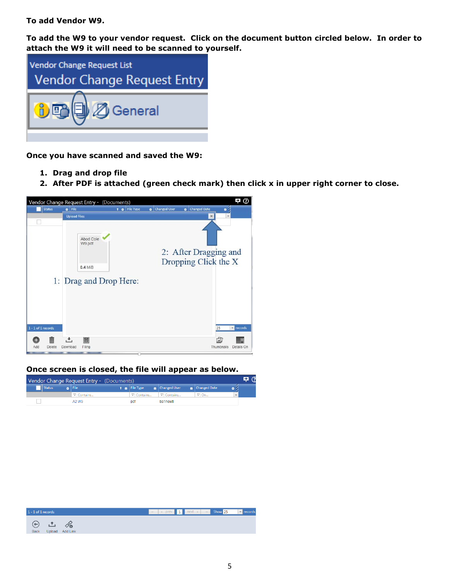**To add Vendor W9.** 

**To add the W9 to your vendor request. Click on the document button circled below. In order to attach the W9 it will need to be scanned to yourself.** 



**Once you have scanned and saved the W9:**

- **1. Drag and drop file**
- **2. After PDF is attached (green check mark) then click x in upper right corner to close.**



**Once screen is closed, the file will appear as below.**

| Vendor Change Request Entry - (Documents) |  |               |  |                      |  |              |  | G                      |  |
|-------------------------------------------|--|---------------|--|----------------------|--|--------------|--|------------------------|--|
| Status                                    |  | <b>8</b> File |  | ↑ <i>N</i> File Type |  | Changed User |  | <b>BE</b> Changed Date |  |
|                                           |  | ∇ Contains    |  | . ∀ Contains         |  | ∇ Contains   |  | $\triangledown$ On     |  |
|                                           |  | A2 W9         |  | pdf                  |  | ba1newtl     |  |                        |  |

| $1 - 1$ of 1 records       |                 |  | $\begin{array}{ c c c c c c c c c }\hline \textbf{1} & \text{next} & \text{start} & \text{show 25} & \textbf{v} & \text{records} \ \hline \end{array}$ |  |
|----------------------------|-----------------|--|--------------------------------------------------------------------------------------------------------------------------------------------------------|--|
| $\Theta$ in<br><b>Back</b> | Upload Add Link |  |                                                                                                                                                        |  |